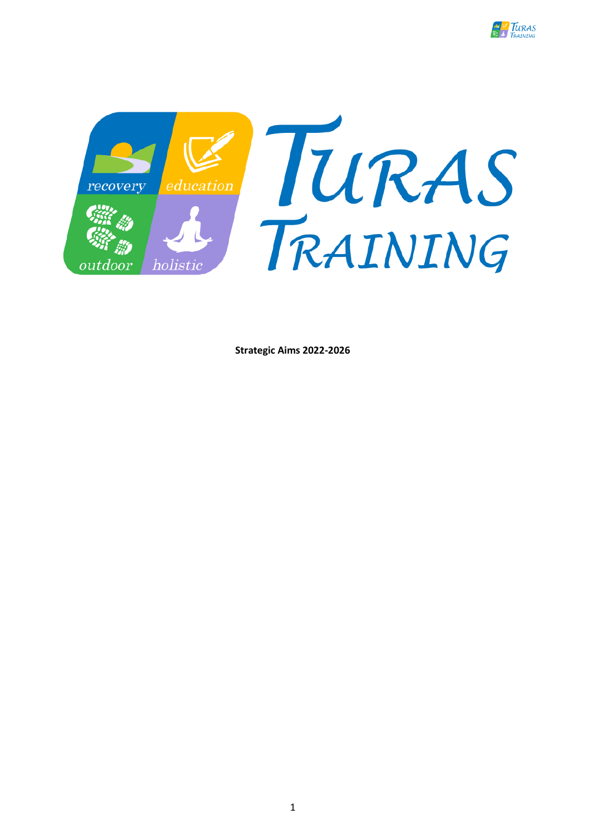



**Strategic Aims 2022-2026**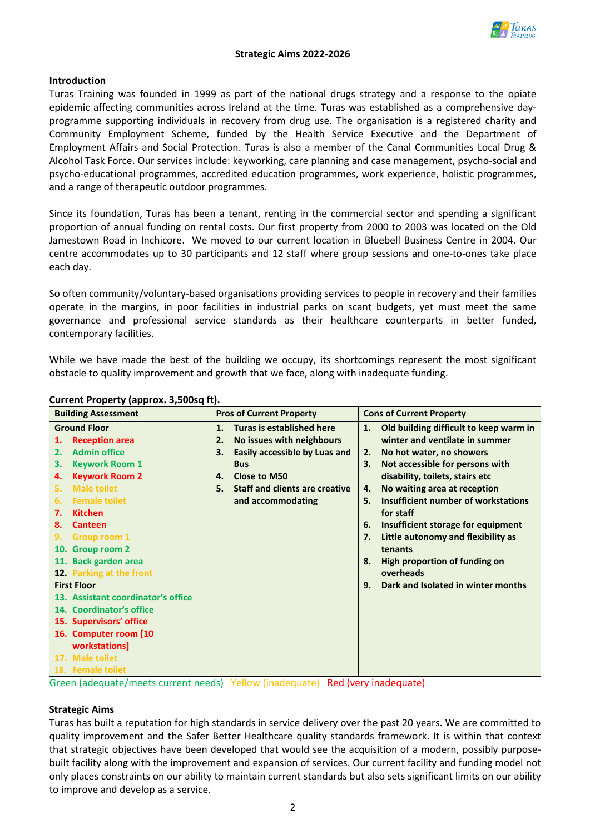

### **Introduction**

Turas Training was founded in 1999 as part of the national drugs strategy and a response to the opiate epidemic affecting communities across Ireland at the time. Turas was established as a comprehensive dayprogramme supporting individuals in recovery from drug use. The organisation is a registered charity and Community Employment Scheme, funded by the Health Service Executive and the Department of Employment Affairs and Social Protection. Turas is also a member of the Canal Communities Local Drug & Alcohol Task Force. Our services include: keyworking, care planning and case management, psycho-social and psycho-educational programmes, accredited education programmes, work experience, holistic programmes, and a range of therapeutic outdoor programmes.

Since its foundation, Turas has been a tenant, renting in the commercial sector and spending a significant proportion of annual funding on rental costs. Our first property from 2000 to 2003 was located on the Old Jamestown Road in Inchicore. We moved to our current location in Bluebell Business Centre in 2004. Our centre accommodates up to 30 participants and 12 staff where group sessions and one-to-ones take place each day.

So often community/voluntary-based organisations providing services to people in recovery and their families operate in the margins, in poor facilities in industrial parks on scant budgets, yet must meet the same governance and professional service standards as their healthcare counterparts in better funded, contemporary facilities.

While we have made the best of the building we occupy, its shortcomings represent the most significant obstacle to quality improvement and growth that we face, along with inadequate funding.

#### **Current Property (approx. 3,500sq ft).**

Green (adequate/meets current needs) Yellow (inadequate) Red (very inadequate)

# **Strategic Aims**

Turas has built a reputation for high standards in service delivery over the past 20 years. We are committed to quality improvement and the Safer Better Healthcare quality standards framework. It is within that context that strategic objectives have been developed that would see the acquisition of a modern, possibly purposebuilt facility along with the improvement and expansion of services. Our current facility and funding model not only places constraints on our ability to maintain current standards but also sets significant limits on our ability to improve and develop as a service.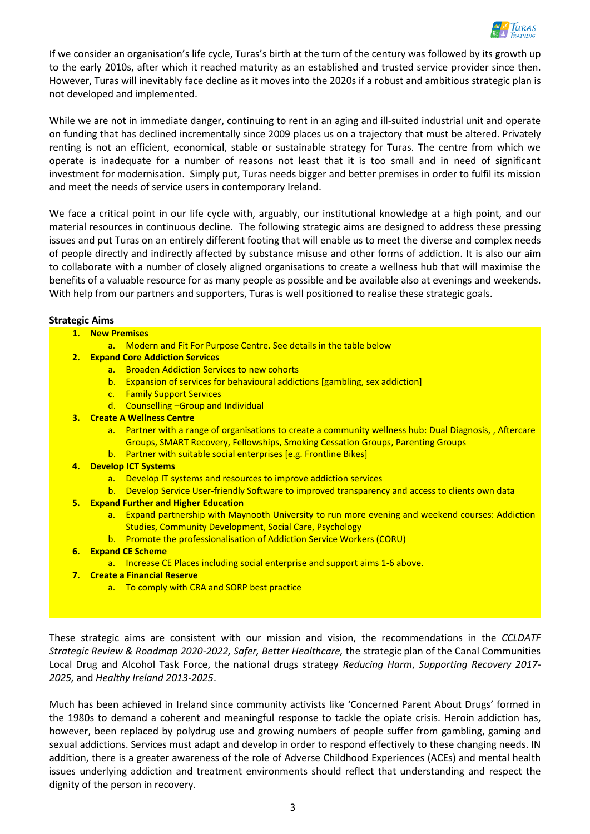

If we consider an organisation's life cycle, Turas's birth at the turn of the century was followed by its growth up to the early 2010s, after which it reached maturity as an established and trusted service provider since then. However, Turas will inevitably face decline as it moves into the 2020s if a robust and ambitious strategic plan is not developed and implemented.

While we are not in immediate danger, continuing to rent in an aging and ill-suited industrial unit and operate on funding that has declined incrementally since 2009 places us on a trajectory that must be altered. Privately renting is not an efficient, economical, stable or sustainable strategy for Turas. The centre from which we operate is inadequate for a number of reasons not least that it is too small and in need of significant investment for modernisation. Simply put, Turas needs bigger and better premises in order to fulfil its mission and meet the needs of service users in contemporary Ireland.

We face a critical point in our life cycle with, arguably, our institutional knowledge at a high point, and our material resources in continuous decline. The following strategic aims are designed to address these pressing issues and put Turas on an entirely different footing that will enable us to meet the diverse and complex needs of people directly and indirectly affected by substance misuse and other forms of addiction. It is also our aim to collaborate with a number of closely aligned organisations to create a wellness hub that will maximise the benefits of a valuable resource for as many people as possible and be available also at evenings and weekends. With help from our partners and supporters, Turas is well positioned to realise these strategic goals.

### **Strategic Aims**

| u alugit Alliis                               |                                                                                                         |  |  |  |
|-----------------------------------------------|---------------------------------------------------------------------------------------------------------|--|--|--|
| 1. New Premises                               |                                                                                                         |  |  |  |
| $a_{\cdot}$                                   | Modern and Fit For Purpose Centre. See details in the table below                                       |  |  |  |
| <b>2. Expand Core Addiction Services</b>      |                                                                                                         |  |  |  |
| $a_{-}$                                       | <b>Broaden Addiction Services to new cohorts</b>                                                        |  |  |  |
| b.                                            | <b>Expansion of services for behavioural addictions [gambling, sex addiction]</b>                       |  |  |  |
| C <sub>1</sub>                                | <b>Family Support Services</b>                                                                          |  |  |  |
|                                               | d. Counselling - Group and Individual                                                                   |  |  |  |
| 3. Create A Wellness Centre                   |                                                                                                         |  |  |  |
|                                               | a. Partner with a range of organisations to create a community wellness hub: Dual Diagnosis,, Aftercare |  |  |  |
|                                               | Groups, SMART Recovery, Fellowships, Smoking Cessation Groups, Parenting Groups                         |  |  |  |
|                                               | b. Partner with suitable social enterprises [e.g. Frontline Bikes]                                      |  |  |  |
| 4. Develop ICT Systems                        |                                                                                                         |  |  |  |
| a.                                            | Develop IT systems and resources to improve addiction services                                          |  |  |  |
|                                               | b. Develop Service User-friendly Software to improved transparency and access to clients own data       |  |  |  |
| <b>5. Expand Further and Higher Education</b> |                                                                                                         |  |  |  |
|                                               | a. Expand partnership with Maynooth University to run more evening and weekend courses: Addiction       |  |  |  |
|                                               | <b>Studies, Community Development, Social Care, Psychology</b>                                          |  |  |  |
| b.                                            | <b>Promote the professionalisation of Addiction Service Workers (CORU)</b>                              |  |  |  |
| <b>6.</b> Expand CE Scheme                    |                                                                                                         |  |  |  |
|                                               | a. Increase CE Places including social enterprise and support aims 1-6 above.                           |  |  |  |
| 7. Create a Financial Reserve                 |                                                                                                         |  |  |  |
|                                               | a. To comply with CRA and SORP best practice                                                            |  |  |  |
|                                               |                                                                                                         |  |  |  |

These strategic aims are consistent with our mission and vision, the recommendations in the *CCLDATF Strategic Review & Roadmap 2020-2022, Safer, Better Healthcare,* the strategic plan of the Canal Communities Local Drug and Alcohol Task Force, the national drugs strategy *Reducing Harm*, *Supporting Recovery 2017- 2025,* and *Healthy Ireland 2013-2025*.

Much has been achieved in Ireland since community activists like 'Concerned Parent About Drugs' formed in the 1980s to demand a coherent and meaningful response to tackle the opiate crisis. Heroin addiction has, however, been replaced by polydrug use and growing numbers of people suffer from gambling, gaming and sexual addictions. Services must adapt and develop in order to respond effectively to these changing needs. IN addition, there is a greater awareness of the role of Adverse Childhood Experiences (ACEs) and mental health issues underlying addiction and treatment environments should reflect that understanding and respect the dignity of the person in recovery.